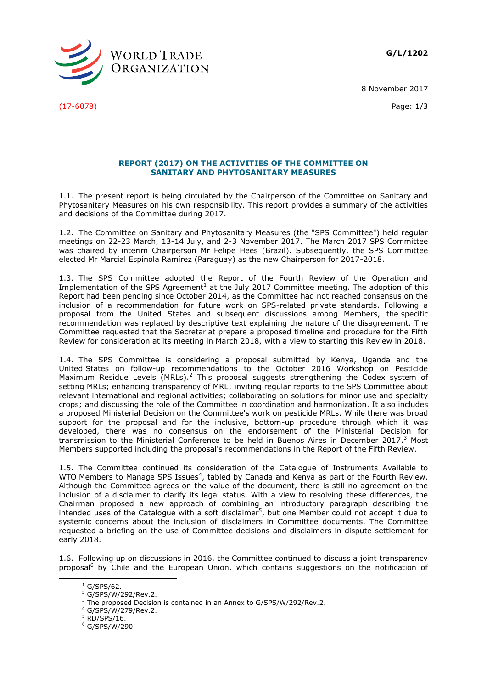**G/L/1202**

8 November 2017



(17-6078) Page: 1/3

## **REPORT (2017) ON THE ACTIVITIES OF THE COMMITTEE ON SANITARY AND PHYTOSANITARY MEASURES**

1.1. The present report is being circulated by the Chairperson of the Committee on Sanitary and Phytosanitary Measures on his own responsibility. This report provides a summary of the activities and decisions of the Committee during 2017.

1.2. The Committee on Sanitary and Phytosanitary Measures (the "SPS Committee") held regular meetings on 22-23 March, 13-14 July, and 2-3 November 2017. The March 2017 SPS Committee was chaired by interim Chairperson Mr Felipe Hees (Brazil). Subsequently, the SPS Committee elected Mr Marcial Espínola Ramírez (Paraguay) as the new Chairperson for 2017-2018.

1.3. The SPS Committee adopted the Report of the Fourth Review of the Operation and Implementation of the SPS Agreement<sup>1</sup> at the July 2017 Committee meeting. The adoption of this Report had been pending since October 2014, as the Committee had not reached consensus on the inclusion of a recommendation for future work on SPS-related private standards. Following a proposal from the United States and subsequent discussions among Members, the specific recommendation was replaced by descriptive text explaining the nature of the disagreement. The Committee requested that the Secretariat prepare a proposed timeline and procedure for the Fifth Review for consideration at its meeting in March 2018, with a view to starting this Review in 2018.

1.4. The SPS Committee is considering a proposal submitted by Kenya, Uganda and the United States on follow-up recommendations to the October 2016 Workshop on Pesticide Maximum Residue Levels (MRLs).<sup>2</sup> This proposal suggests strengthening the Codex system of setting MRLs; enhancing transparency of MRL; inviting regular reports to the SPS Committee about relevant international and regional activities; collaborating on solutions for minor use and specialty crops; and discussing the role of the Committee in coordination and harmonization. It also includes a proposed Ministerial Decision on the Committee's work on pesticide MRLs. While there was broad support for the proposal and for the inclusive, bottom-up procedure through which it was developed, there was no consensus on the endorsement of the Ministerial Decision for transmission to the Ministerial Conference to be held in Buenos Aires in December 2017.<sup>3</sup> Most Members supported including the proposal's recommendations in the Report of the Fifth Review.

1.5. The Committee continued its consideration of the Catalogue of Instruments Available to WTO Members to Manage SPS Issues<sup>4</sup>, tabled by Canada and Kenya as part of the Fourth Review. Although the Committee agrees on the value of the document, there is still no agreement on the inclusion of a disclaimer to clarify its legal status. With a view to resolving these differences, the Chairman proposed a new approach of combining an introductory paragraph describing the intended uses of the Catalogue with a soft disclaimer<sup>5</sup>, but one Member could not accept it due to systemic concerns about the inclusion of disclaimers in Committee documents. The Committee requested a briefing on the use of Committee decisions and disclaimers in dispute settlement for early 2018.

1.6. Following up on discussions in 2016, the Committee continued to discuss a joint transparency proposal<sup>6</sup> by Chile and the European Union, which contains suggestions on the notification of

-

 $1$  G/SPS/62.

<sup>2</sup> G/SPS/W/292/Rev.2.

<sup>&</sup>lt;sup>3</sup> The proposed Decision is contained in an Annex to G/SPS/W/292/Rev.2.

<sup>4</sup> G/SPS/W/279/Rev.2.

<sup>5</sup> RD/SPS/16.

<sup>6</sup> G/SPS/W/290.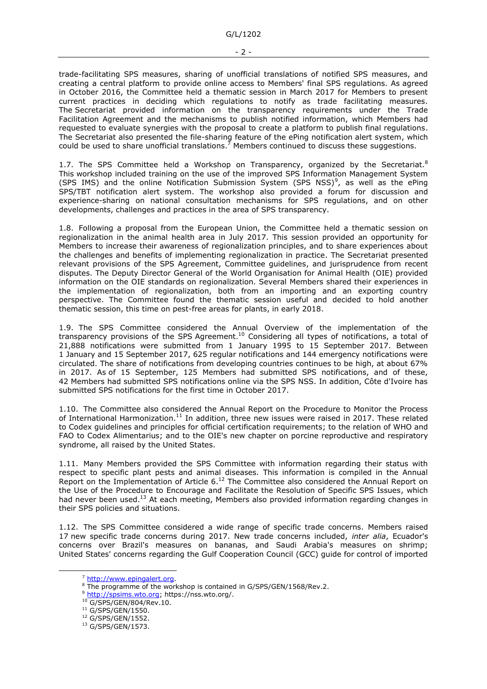trade-facilitating SPS measures, sharing of unofficial translations of notified SPS measures, and creating a central platform to provide online access to Members' final SPS regulations. As agreed in October 2016, the Committee held a thematic session in March 2017 for Members to present current practices in deciding which regulations to notify as trade facilitating measures. The Secretariat provided information on the transparency requirements under the Trade Facilitation Agreement and the mechanisms to publish notified information, which Members had requested to evaluate synergies with the proposal to create a platform to publish final regulations. The Secretariat also presented the file-sharing feature of the ePing notification alert system, which could be used to share unofficial translations.<sup>7</sup> Members continued to discuss these suggestions.

1.7. The SPS Committee held a Workshop on Transparency, organized by the Secretariat.<sup>8</sup> This workshop included training on the use of the improved SPS Information Management System (SPS IMS) and the online Notification Submission System (SPS NSS)<sup>9</sup>, as well as the ePing SPS/TBT notification alert system. The workshop also provided a forum for discussion and experience-sharing on national consultation mechanisms for SPS regulations, and on other developments, challenges and practices in the area of SPS transparency.

1.8. Following a proposal from the European Union, the Committee held a thematic session on regionalization in the animal health area in July 2017. This session provided an opportunity for Members to increase their awareness of regionalization principles, and to share experiences about the challenges and benefits of implementing regionalization in practice. The Secretariat presented relevant provisions of the SPS Agreement, Committee guidelines, and jurisprudence from recent disputes. The Deputy Director General of the World Organisation for Animal Health (OIE) provided information on the OIE standards on regionalization. Several Members shared their experiences in the implementation of regionalization, both from an importing and an exporting country perspective. The Committee found the thematic session useful and decided to hold another thematic session, this time on pest-free areas for plants, in early 2018.

1.9. The SPS Committee considered the Annual Overview of the implementation of the transparency provisions of the SPS Agreement.<sup>10</sup> Considering all types of notifications, a total of 21,888 notifications were submitted from 1 January 1995 to 15 September 2017. Between 1 January and 15 September 2017, 625 regular notifications and 144 emergency notifications were circulated. The share of notifications from developing countries continues to be high, at about 67% in 2017. As of 15 September, 125 Members had submitted SPS notifications, and of these, 42 Members had submitted SPS notifications online via the SPS NSS. In addition, Côte d'Ivoire has submitted SPS notifications for the first time in October 2017.

1.10. The Committee also considered the Annual Report on the Procedure to Monitor the Process of International Harmonization.<sup>11</sup> In addition, three new issues were raised in 2017. These related to Codex guidelines and principles for official certification requirements; to the relation of WHO and FAO to Codex Alimentarius; and to the OIE's new chapter on porcine reproductive and respiratory syndrome, all raised by the United States.

1.11. Many Members provided the SPS Committee with information regarding their status with respect to specific plant pests and animal diseases. This information is compiled in the Annual Report on the Implementation of Article 6.<sup>12</sup> The Committee also considered the Annual Report on the Use of the Procedure to Encourage and Facilitate the Resolution of Specific SPS Issues, which had never been used.<sup>13</sup> At each meeting, Members also provided information regarding changes in their SPS policies and situations.

1.12. The SPS Committee considered a wide range of specific trade concerns. Members raised 17 new specific trade concerns during 2017. New trade concerns included, *inter alia*, Ecuador's concerns over Brazil's measures on bananas, and Saudi Arabia's measures on shrimp; United States' concerns regarding the Gulf Cooperation Council (GCC) guide for control of imported

-

<sup>7</sup> [http://www.epingalert.org.](http://www.epingalert.org/)

<sup>&</sup>lt;sup>8</sup> The programme of the workshop is contained in G/SPS/GEN/1568/Rev.2.

<sup>9</sup> [http://spsims.wto.org;](http://spsims.wto.org/) https://nss.wto.org/.

<sup>&</sup>lt;sup>10</sup> G/SPS/GEN/804/Rev.10.

<sup>&</sup>lt;sup>11</sup> G/SPS/GEN/1550.

<sup>&</sup>lt;sup>12</sup> G/SPS/GEN/1552.

<sup>13</sup> G/SPS/GEN/1573.